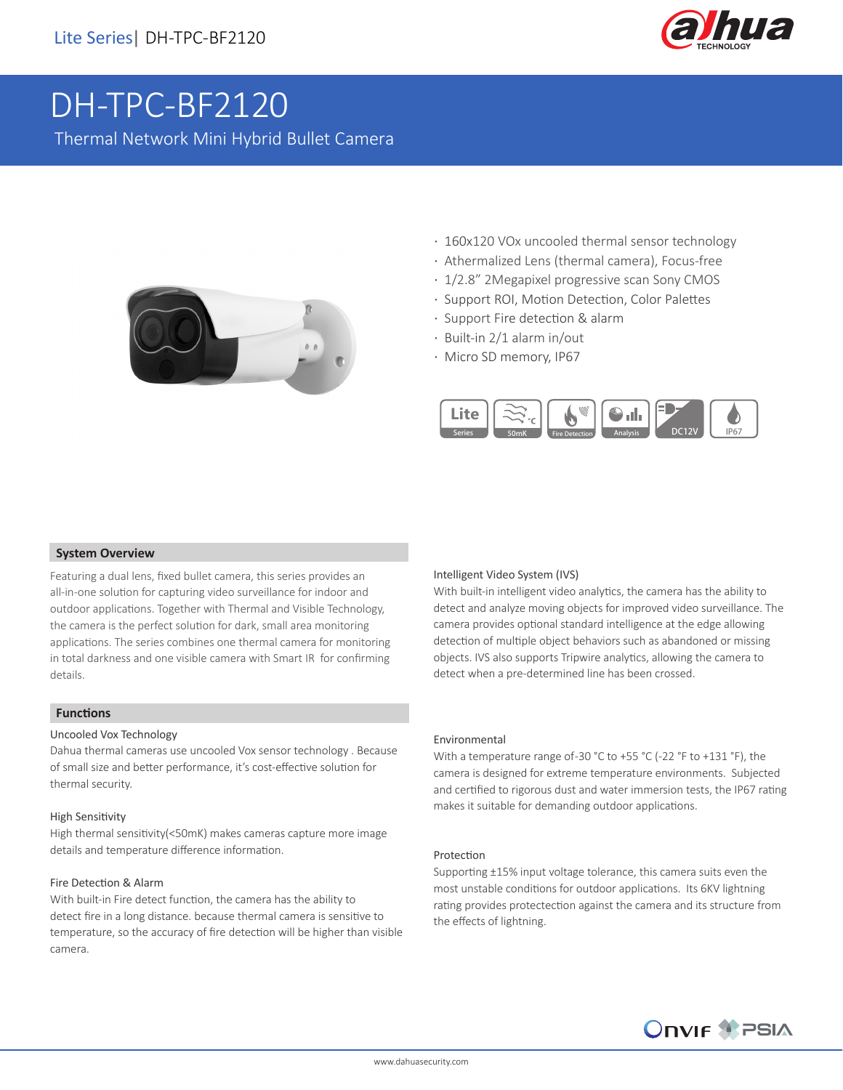

# DH-TPC-BF2120

Thermal Network Mini Hybrid Bullet Camera



- · 160x120 VOx uncooled thermal sensor technology
- · Athermalized Lens (thermal camera), Focus-free
- · 1/2.8" 2Megapixel progressive scan Sony CMOS
- · Support ROI, Motion Detection, Color Palettes
- · Support Fire detection & alarm
- · Built-in 2/1 alarm in/out
- · Micro SD memory, IP67



#### **System Overview**

Featuring a dual lens, fixed bullet camera, this series provides an all-in-one solution for capturing video surveillance for indoor and outdoor applications. Together with Thermal and Visible Technology, the camera is the perfect solution for dark, small area monitoring applications. The series combines one thermal camera for monitoring in total darkness and one visible camera with Smart IR for confirming details.

#### **Functions**

#### Uncooled Vox Technology

Dahua thermal cameras use uncooled Vox sensor technology . Because of small size and better performance, it's cost-effective solution for thermal security.

#### High Sensitivity

High thermal sensitivity(<50mK) makes cameras capture more image details and temperature difference information.

#### Fire Detection & Alarm

With built-in Fire detect function, the camera has the ability to detect fire in a long distance. because thermal camera is sensitive to temperature, so the accuracy of fire detection will be higher than visible camera.

#### Intelligent Video System (IVS)

With built-in intelligent video analytics, the camera has the ability to detect and analyze moving objects for improved video surveillance. The camera provides optional standard intelligence at the edge allowing detection of multiple object behaviors such as abandoned or missing objects. IVS also supports Tripwire analytics, allowing the camera to detect when a pre-determined line has been crossed.

#### Environmental

With a temperature range of -30 °C to +55 °C (-22 °F to +131 °F), the camera is designed for extreme temperature environments. Subjected and certified to rigorous dust and water immersion tests, the IP67 rating makes it suitable for demanding outdoor applications.

#### Protection

Supporting ±15% input voltage tolerance, this camera suits even the most unstable conditions for outdoor applications. Its 6KV lightning rating provides protectection against the camera and its structure from the effects of lightning.

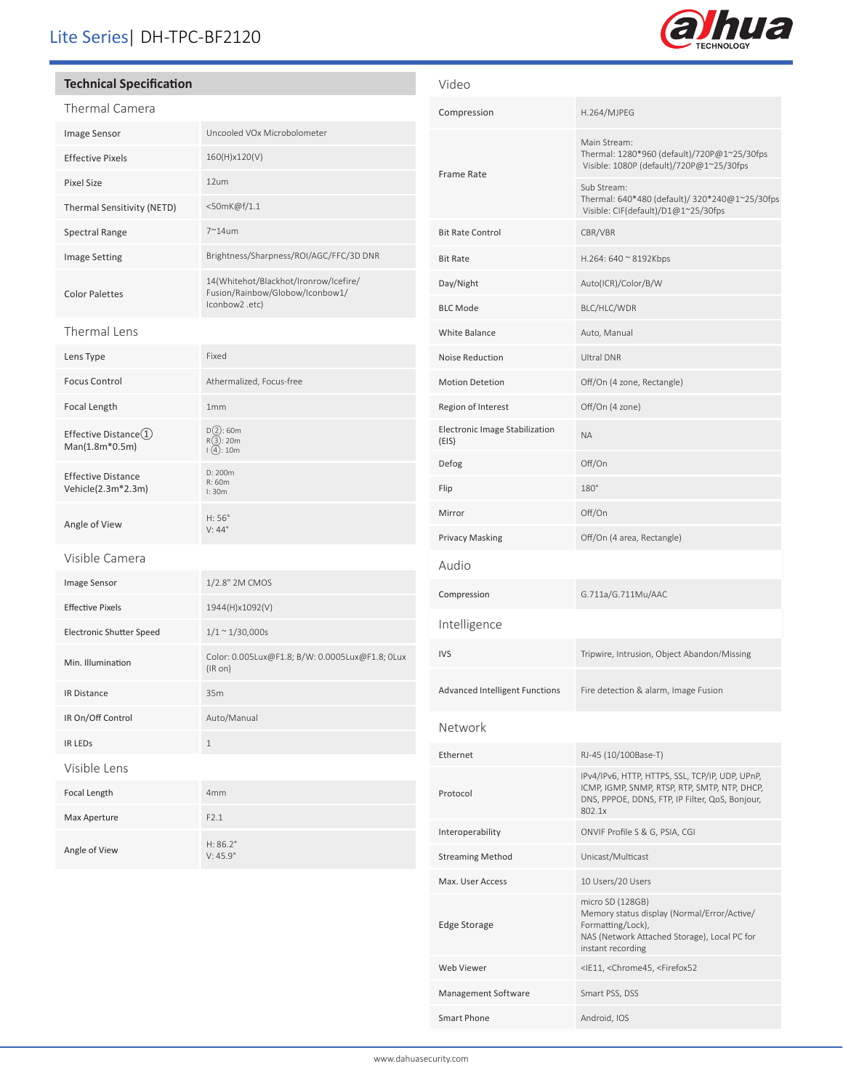## Lite Series| DH-TPC-BF2120

#### **Technical Specification**

| Thermal Camera                                  |                                                                                            |  |
|-------------------------------------------------|--------------------------------------------------------------------------------------------|--|
| Image Sensor                                    | Uncooled VOx Microbolometer                                                                |  |
| <b>Effective Pixels</b>                         | 160(H)x120(V)                                                                              |  |
| <b>Pixel Size</b>                               | 12um                                                                                       |  |
| Thermal Sensitivity (NETD)                      | <50mK@f/1.1                                                                                |  |
| <b>Spectral Range</b>                           | $7^{\sim}$ 14um                                                                            |  |
| <b>Image Setting</b>                            | Brightness/Sharpness/ROI/AGC/FFC/3D DNR                                                    |  |
| <b>Color Palettes</b>                           | 14(Whitehot/Blackhot/Ironrow/Icefire/<br>Fusion/Rainbow/Globow/Iconbow1/<br>lconbow2 .etc) |  |
| Thermal Lens                                    |                                                                                            |  |
| Lens Type                                       | Fixed                                                                                      |  |
| <b>Focus Control</b>                            | Athermalized, Focus-free                                                                   |  |
| Focal Length                                    | 1mm                                                                                        |  |
| Effective Distance(1)<br>Man(1.8m*0.5m)         | D(2): 60m<br>R(3): 20m<br>(4): 10m                                                         |  |
| <b>Effective Distance</b><br>Vehicle(2.3m*2.3m) | D: 200m<br>R: 60m<br>l: 30m                                                                |  |
| Angle of View                                   | H:56°<br>$V: 44^\circ$                                                                     |  |
| Visible Camera                                  |                                                                                            |  |
| Image Sensor                                    | 1/2.8" 2M CMOS                                                                             |  |
| <b>Effective Pixels</b>                         | 1944(H)x1092(V)                                                                            |  |
| <b>Electronic Shutter Speed</b>                 | $1/1 \sim 1/30,000s$                                                                       |  |
| Min. Illumination                               | Color: 0.005Lux@F1.8; B/W: 0.0005Lux@F1.8; 0Lux<br>$(IR \text{ on})$                       |  |
| <b>IR Distance</b>                              | 35m                                                                                        |  |
| IR On/Off Control                               | Auto/Manual                                                                                |  |
| <b>IR LEDS</b>                                  | $\mathbf 1$                                                                                |  |
| Visible Lens                                    |                                                                                            |  |
| Focal Length                                    | 4mm                                                                                        |  |
| Max Aperture                                    | F2.1                                                                                       |  |
| Angle of View                                   | $H: 86.2^{\circ}$<br>$V:45.9^\circ$                                                        |  |

| Video                                   |                                                                                                                                                               |  |
|-----------------------------------------|---------------------------------------------------------------------------------------------------------------------------------------------------------------|--|
| Compression                             | H.264/MJPEG                                                                                                                                                   |  |
| Frame Rate                              | Main Stream:<br>Thermal: 1280*960 (default)/720P@1~25/30fps<br>Visible: 1080P (default)/720P@1~25/30fps                                                       |  |
|                                         | Sub Stream:<br>Thermal: 640*480 (default)/ 320*240@1~25/30fps<br>Visible: CIF(default)/D1@1~25/30fps                                                          |  |
| <b>Bit Rate Control</b>                 | CBR/VBR                                                                                                                                                       |  |
| <b>Bit Rate</b>                         | H.264: 640 ~ 8192Kbps                                                                                                                                         |  |
| Day/Night                               | Auto(ICR)/Color/B/W                                                                                                                                           |  |
| <b>BLC Mode</b>                         | BLC/HLC/WDR                                                                                                                                                   |  |
| White Balance                           | Auto, Manual                                                                                                                                                  |  |
| Noise Reduction                         | <b>Ultral DNR</b>                                                                                                                                             |  |
| <b>Motion Detetion</b>                  | Off/On (4 zone, Rectangle)                                                                                                                                    |  |
| Region of Interest                      | Off/On (4 zone)                                                                                                                                               |  |
| Electronic Image Stabilization<br>(EIS) | <b>NA</b>                                                                                                                                                     |  |
| Defog                                   | Off/On                                                                                                                                                        |  |
| Flip                                    | $180^\circ$                                                                                                                                                   |  |
| Mirror                                  | Off/On                                                                                                                                                        |  |
| Privacy Masking                         | Off/On (4 area, Rectangle)                                                                                                                                    |  |
| Audio                                   |                                                                                                                                                               |  |
| Compression                             | G.711a/G.711Mu/AAC                                                                                                                                            |  |
| Intelligence                            |                                                                                                                                                               |  |
| IVS                                     | Tripwire, Intrusion, Object Abandon/Missing                                                                                                                   |  |
| <b>Advanced Intelligent Functions</b>   | Fire detection & alarm, Image Fusion                                                                                                                          |  |
| Network                                 |                                                                                                                                                               |  |
| Ethernet                                | RJ-45 (10/100Base-T)                                                                                                                                          |  |
| Protocol                                | IPv4/IPv6, HTTP, HTTPS, SSL, TCP/IP, UDP, UPnP,<br>ICMP, IGMP, SNMP, RTSP, RTP, SMTP, NTP, DHCP,<br>DNS, PPPOE, DDNS, FTP, IP Filter, QoS, Bonjour,<br>802.1x |  |
| Interoperability                        | ONVIF Profile S & G, PSIA, CGI                                                                                                                                |  |
| Streaming Method                        | Unicast/Multicast                                                                                                                                             |  |
| Max. User Access                        | 10 Users/20 Users                                                                                                                                             |  |
| <b>Edge Storage</b>                     | micro SD (128GB)<br>Memory status display (Normal/Error/Active/<br>Formatting/Lock),<br>NAS (Network Attached Storage), Local PC for<br>instant recording     |  |
| Web Viewer                              | <ie11, <chrome45,="" <firefox52<="" td=""></ie11,>                                                                                                            |  |
| Management Software                     | Smart PSS, DSS                                                                                                                                                |  |
| <b>Smart Phone</b>                      | Android, IOS                                                                                                                                                  |  |